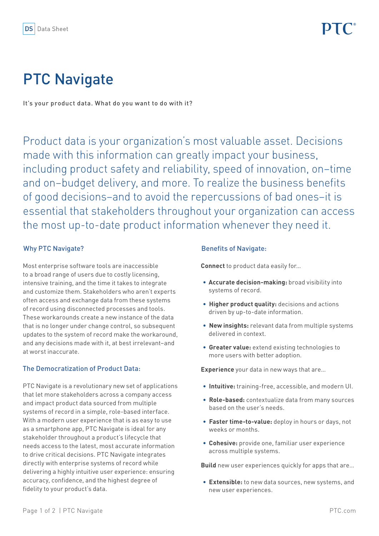# PTC Navigate

It's your product data. What do you want to do with it?

Product data is your organization's most valuable asset. Decisions made with this information can greatly impact your business, including product safety and reliability, speed of innovation, on–time and on–budget delivery, and more. To realize the business benefits of good decisions–and to avoid the repercussions of bad ones–it is essential that stakeholders throughout your organization can access the most up-to-date product information whenever they need it.

# Why PTC Navigate?

Most enterprise software tools are inaccessible to a broad range of users due to costly licensing, intensive training, and the time it takes to integrate and customize them. Stakeholders who aren't experts often access and exchange data from these systems of record using disconnected processes and tools. These workarounds create a new instance of the data that is no longer under change control, so subsequent updates to the system of record make the workaround, and any decisions made with it, at best irrelevant–and at worst inaccurate.

## The Democratization of Product Data:

PTC Navigate is a revolutionary new set of applications that let more stakeholders across a company access and impact product data sourced from multiple systems of record in a simple, role-based interface. With a modern user experience that is as easy to use as a smartphone app, PTC Navigate is ideal for any stakeholder throughout a product's lifecycle that needs access to the latest, most accurate information to drive critical decisions. PTC Navigate integrates directly with enterprise systems of record while delivering a highly intuitive user experience: ensuring accuracy, confidence, and the highest degree of fidelity to your product's data.

## Benefits of Navigate:

**Connect** to product data easily for…

- **• Accurate decision-making:** broad visibility into systems of record.
- **• Higher product quality:** decisions and actions driven by up-to-date information.
- **• New insights:** relevant data from multiple systems delivered in context.
- **• Greater value:** extend existing technologies to more users with better adoption.

**Experience** your data in new ways that are…

- **• Intuitive:** training-free, accessible, and modern UI.
- **• Role-based:** contextualize data from many sources based on the user's needs.
- **• Faster time-to-value:** deploy in hours or days, not weeks or months.
- **• Cohesive:** provide one, familiar user experience across multiple systems.

**Build** new user experiences quickly for apps that are…

**• Extensible:** to new data sources, new systems, and new user experiences.